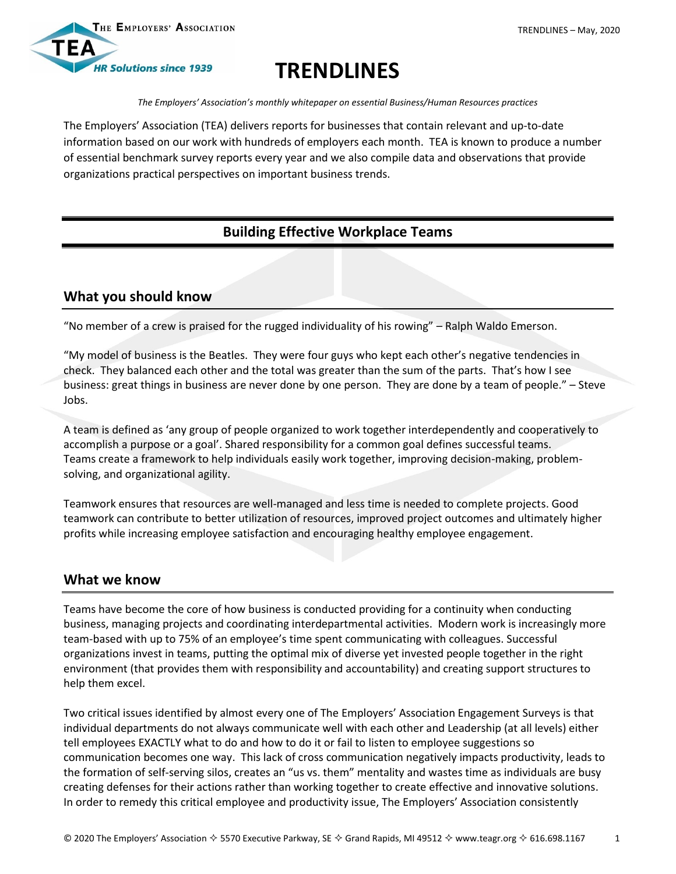

# **TRENDLINES**

*The Employers' Association's monthly whitepaper on essential Business/Human Resources practices*

The Employers' Association (TEA) delivers reports for businesses that contain relevant and up-to-date information based on our work with hundreds of employers each month. TEA is known to produce a number of essential benchmark survey reports every year and we also compile data and observations that provide organizations practical perspectives on important business trends.

## **Building Effective Workplace Teams**

### **What you should know**

"No member of a crew is praised for the rugged individuality of his rowing" – Ralph Waldo Emerson.

"My model of business is the Beatles. They were four guys who kept each other's negative tendencies in check. They balanced each other and the total was greater than the sum of the parts. That's how I see business: great things in business are never done by one person. They are done by a team of people." – Steve Jobs.

A team is defined as 'any group of people organized to work together interdependently and cooperatively to accomplish a purpose or a goal'. Shared responsibility for a common goal defines successful teams. Teams create a framework to help individuals easily work together, improving decision-making, problemsolving, and organizational agility.

Teamwork ensures that resources are well-managed and less time is needed to complete projects. Good teamwork can contribute to better utilization of resources, improved project outcomes and ultimately higher profits while increasing employee satisfaction and encouraging healthy employee engagement.

#### **What we know**

Teams have become the core of how business is conducted providing for a continuity when conducting business, managing projects and coordinating interdepartmental activities. Modern work is increasingly more team-based with up to 75% of an employee's time spent communicating with colleagues. Successful organizations invest in teams, putting the optimal mix of diverse yet invested people together in the right environment (that provides them with responsibility and accountability) and creating support structures to help them excel.

Two critical issues identified by almost every one of The Employers' Association Engagement Surveys is that individual departments do not always communicate well with each other and Leadership (at all levels) either tell employees EXACTLY what to do and how to do it or fail to listen to employee suggestions so communication becomes one way. This lack of cross communication negatively impacts productivity, leads to the formation of self-serving silos, creates an "us vs. them" mentality and wastes time as individuals are busy creating defenses for their actions rather than working together to create effective and innovative solutions. In order to remedy this critical employee and productivity issue, The Employers' Association consistently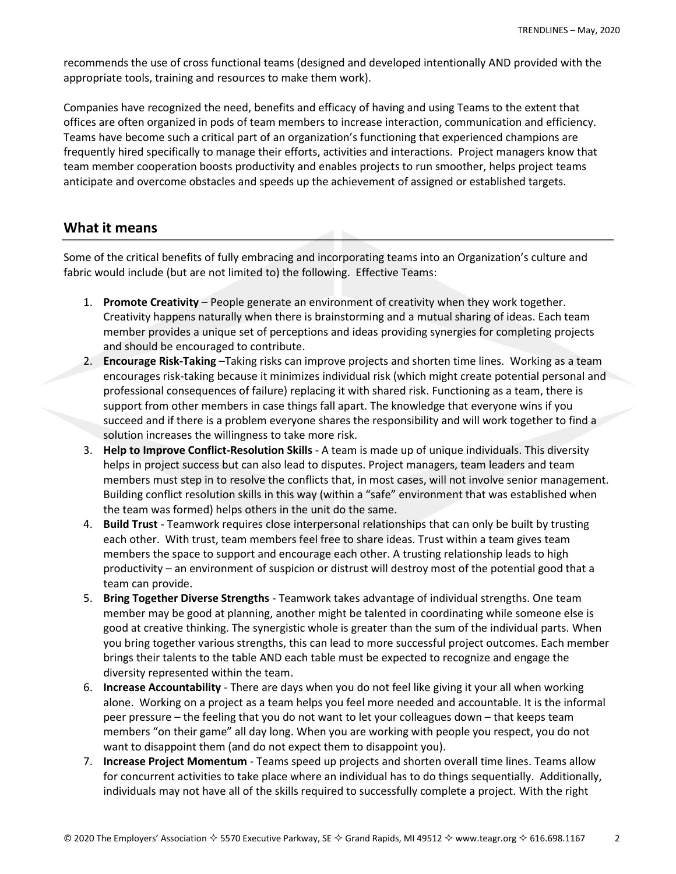recommends the use of cross functional teams (designed and developed intentionally AND provided with the appropriate tools, training and resources to make them work).

Companies have recognized the need, benefits and efficacy of having and using Teams to the extent that offices are often organized in pods of team members to increase interaction, communication and efficiency. Teams have become such a critical part of an organization's functioning that experienced champions are frequently hired specifically to manage their efforts, activities and interactions. Project managers know that team member cooperation boosts productivity and enables projects to run smoother, helps project teams anticipate and overcome obstacles and speeds up the achievement of assigned or established targets.

#### **What it means**

Some of the critical benefits of fully embracing and incorporating teams into an Organization's culture and fabric would include (but are not limited to) the following. Effective Teams:

- 1. **Promote Creativity** People generate an environment of creativity when they work together. Creativity happens naturally when there is brainstorming and a mutual sharing of ideas. Each team member provides a unique set of perceptions and ideas providing synergies for completing projects and should be encouraged to contribute.
- 2. **Encourage Risk-Taking** –Taking risks can improve projects and shorten time lines. Working as a team encourages risk-taking because it minimizes individual risk (which might create potential personal and professional consequences of failure) replacing it with shared risk. Functioning as a team, there is support from other members in case things fall apart. The knowledge that everyone wins if you succeed and if there is a problem everyone shares the responsibility and will work together to find a solution increases the willingness to take more risk.
- 3. **Help to Improve Conflict-Resolution Skills** A team is made up of unique individuals. This diversity helps in project success but can also lead to disputes. Project managers, team leaders and team members must step in to resolve the conflicts that, in most cases, will not involve senior management. Building conflict resolution skills in this way (within a "safe" environment that was established when the team was formed) helps others in the unit do the same.
- 4. **Build Trust** Teamwork requires close interpersonal relationships that can only be built by trusting each other. With trust, team members feel free to share ideas. Trust within a team gives team members the space to support and encourage each other. A trusting relationship leads to high productivity – an environment of suspicion or distrust will destroy most of the potential good that a team can provide.
- 5. **Bring Together Diverse Strengths** Teamwork takes advantage of individual strengths. One team member may be good at planning, another might be talented in coordinating while someone else is good at creative thinking. The synergistic whole is greater than the sum of the individual parts. When you bring together various strengths, this can lead to more successful project outcomes. Each member brings their talents to the table AND each table must be expected to recognize and engage the diversity represented within the team.
- 6. **Increase Accountability** There are days when you do not feel like giving it your all when working alone. Working on a project as a team helps you feel more needed and accountable. It is the informal peer pressure – the feeling that you do not want to let your colleagues down – that keeps team members "on their game" all day long. When you are working with people you respect, you do not want to disappoint them (and do not expect them to disappoint you).
- 7. **Increase Project Momentum** Teams speed up projects and shorten overall time lines. Teams allow for concurrent activities to take place where an individual has to do things sequentially. Additionally, individuals may not have all of the skills required to successfully complete a project. With the right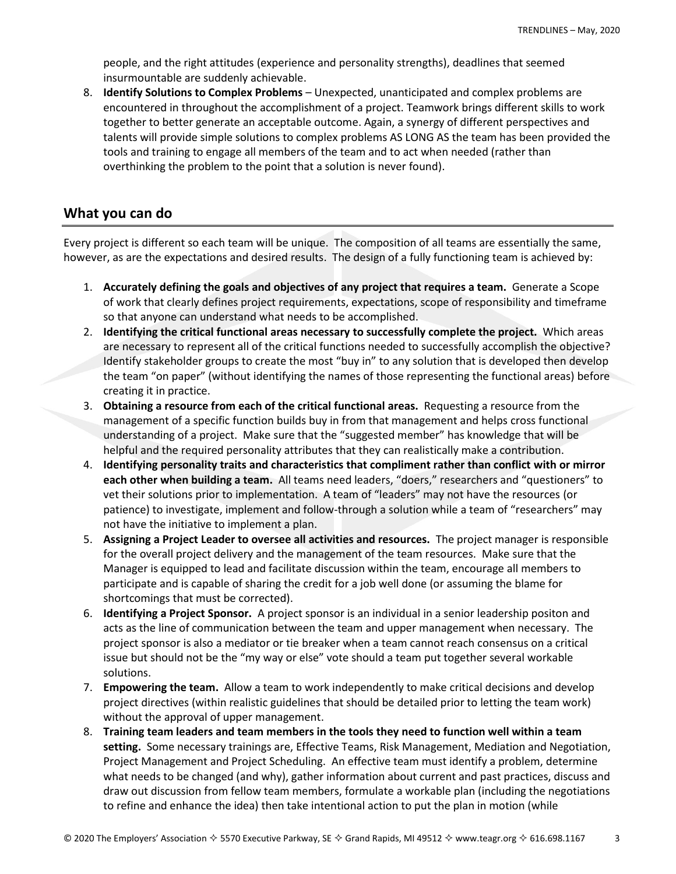people, and the right attitudes (experience and personality strengths), deadlines that seemed insurmountable are suddenly achievable.

8. **Identify Solutions to Complex Problems** – Unexpected, unanticipated and complex problems are encountered in throughout the accomplishment of a project. Teamwork brings different skills to work together to better generate an acceptable outcome. Again, a synergy of different perspectives and talents will provide simple solutions to complex problems AS LONG AS the team has been provided the tools and training to engage all members of the team and to act when needed (rather than overthinking the problem to the point that a solution is never found).

#### **What you can do**

Every project is different so each team will be unique. The composition of all teams are essentially the same, however, as are the expectations and desired results. The design of a fully functioning team is achieved by:

- 1. **Accurately defining the goals and objectives of any project that requires a team.** Generate a Scope of work that clearly defines project requirements, expectations, scope of responsibility and timeframe so that anyone can understand what needs to be accomplished.
- 2. **Identifying the critical functional areas necessary to successfully complete the project.** Which areas are necessary to represent all of the critical functions needed to successfully accomplish the objective? Identify stakeholder groups to create the most "buy in" to any solution that is developed then develop the team "on paper" (without identifying the names of those representing the functional areas) before creating it in practice.
- 3. **Obtaining a resource from each of the critical functional areas.** Requesting a resource from the management of a specific function builds buy in from that management and helps cross functional understanding of a project. Make sure that the "suggested member" has knowledge that will be helpful and the required personality attributes that they can realistically make a contribution.
- 4. **Identifying personality traits and characteristics that compliment rather than conflict with or mirror each other when building a team.** All teams need leaders, "doers," researchers and "questioners" to vet their solutions prior to implementation. A team of "leaders" may not have the resources (or patience) to investigate, implement and follow-through a solution while a team of "researchers" may not have the initiative to implement a plan.
- 5. **Assigning a Project Leader to oversee all activities and resources.** The project manager is responsible for the overall project delivery and the management of the team resources. Make sure that the Manager is equipped to lead and facilitate discussion within the team, encourage all members to participate and is capable of sharing the credit for a job well done (or assuming the blame for shortcomings that must be corrected).
- 6. **Identifying a Project Sponsor.** A project sponsor is an individual in a senior leadership positon and acts as the line of communication between the team and upper management when necessary. The project sponsor is also a mediator or tie breaker when a team cannot reach consensus on a critical issue but should not be the "my way or else" vote should a team put together several workable solutions.
- 7. **Empowering the team.** Allow a team to work independently to make critical decisions and develop project directives (within realistic guidelines that should be detailed prior to letting the team work) without the approval of upper management.
- 8. **Training team leaders and team members in the tools they need to function well within a team setting.** Some necessary trainings are, Effective Teams, Risk Management, Mediation and Negotiation, Project Management and Project Scheduling. An effective team must identify a problem, determine what needs to be changed (and why), gather information about current and past practices, discuss and draw out discussion from fellow team members, formulate a workable plan (including the negotiations to refine and enhance the idea) then take intentional action to put the plan in motion (while